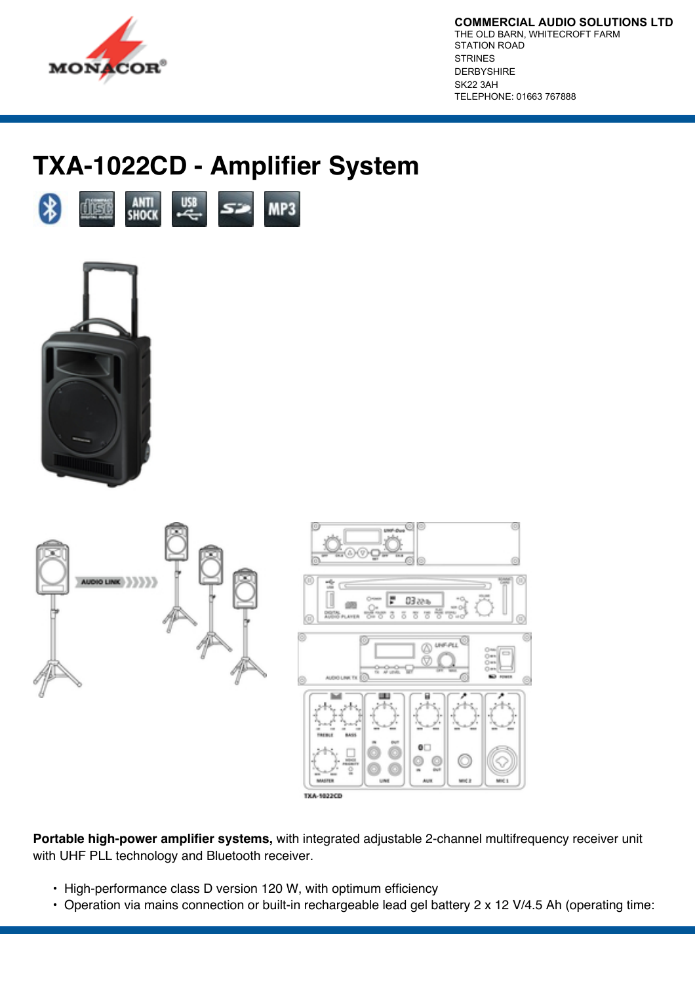

**COMMERCIAL AUDIO SOLUTIONS LTD** THE OLD BARN, WHITECROFT FARM STATION ROAD STRINES DERBYSHIRE SK22 3AH TELEPHONE: 01663 767888

# **TXA-1022CD - Amplifier System**







**Portable high-power amplifier systems,** with integrated adjustable 2-channel multifrequency receiver unit with UHF PLL technology and Bluetooth receiver.

- High-performance class D version 120 W, with optimum efficiency
- Operation via mains connection or built-in rechargeable lead gel battery 2 x 12 V/4.5 Ah (operating time: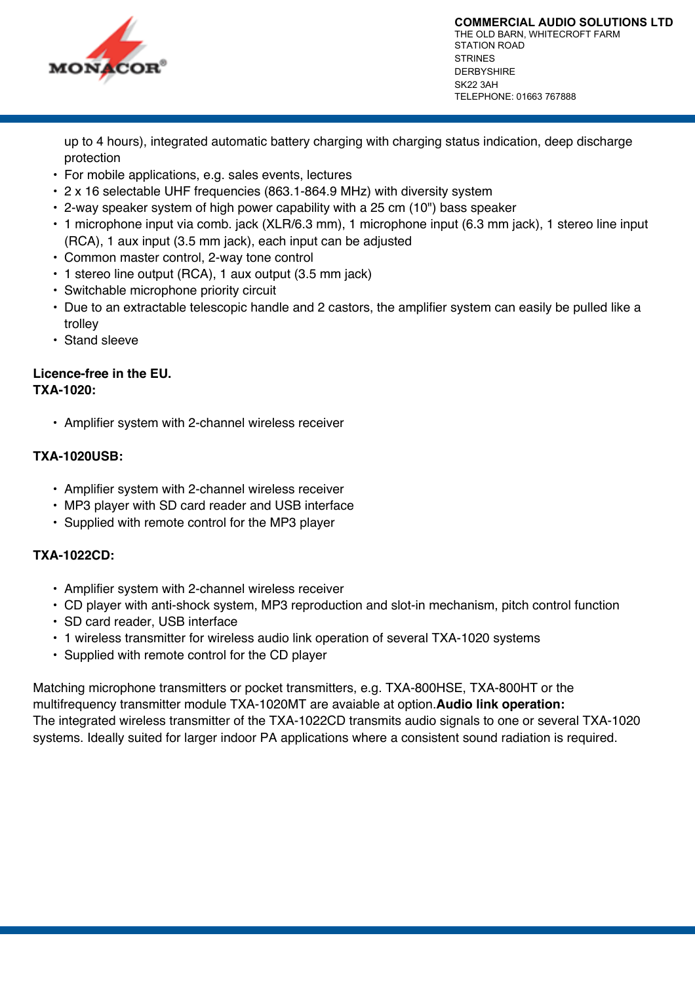

**COMMERCIAL AUDIO SOLUTIONS LTD** THE OLD BARN, WHITECROFT FARM STATION ROAD STRINES DERBYSHIRE SK22 3AH TELEPHONE: 01663 767888

up to 4 hours), integrated automatic battery charging with charging status indication, deep discharge protection

- For mobile applications, e.g. sales events, lectures
- 2 x 16 selectable UHF frequencies (863.1-864.9 MHz) with diversity system
- 2-way speaker system of high power capability with a 25 cm (10") bass speaker
- 1 microphone input via comb. jack (XLR/6.3 mm), 1 microphone input (6.3 mm jack), 1 stereo line input (RCA), 1 aux input (3.5 mm jack), each input can be adjusted
- Common master control, 2-way tone control
- 1 stereo line output (RCA), 1 aux output (3.5 mm jack)
- Switchable microphone priority circuit
- Due to an extractable telescopic handle and 2 castors, the amplifier system can easily be pulled like a trolley
- Stand sleeve

#### **Licence-free in the EU. TXA-1020:**

• Amplifier system with 2-channel wireless receiver

### **TXA-1020USB:**

- Amplifier system with 2-channel wireless receiver
- MP3 player with SD card reader and USB interface
- Supplied with remote control for the MP3 player

### **TXA-1022CD:**

- Amplifier system with 2-channel wireless receiver
- CD player with anti-shock system, MP3 reproduction and slot-in mechanism, pitch control function
- SD card reader, USB interface
- 1 wireless transmitter for wireless audio link operation of several TXA-1020 systems
- Supplied with remote control for the CD player

Matching microphone transmitters or pocket transmitters, e.g. TXA-800HSE, TXA-800HT or the multifrequency transmitter module TXA-1020MT are avaiable at option.**Audio link operation:** The integrated wireless transmitter of the TXA-1022CD transmits audio signals to one or several TXA-1020 systems. Ideally suited for larger indoor PA applications where a consistent sound radiation is required.